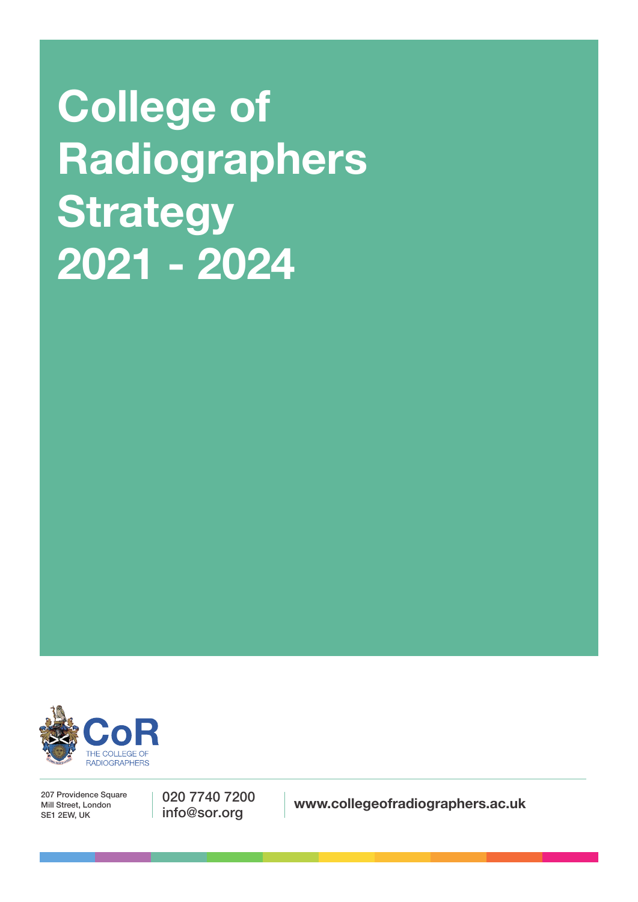**College of Radiographers Strategy 2021 - 2024**



207 Providence Square Mill Street, London SE1 2EW, UK

020 7740 7200

info@sor.org **www.collegeofradiographers.ac.uk**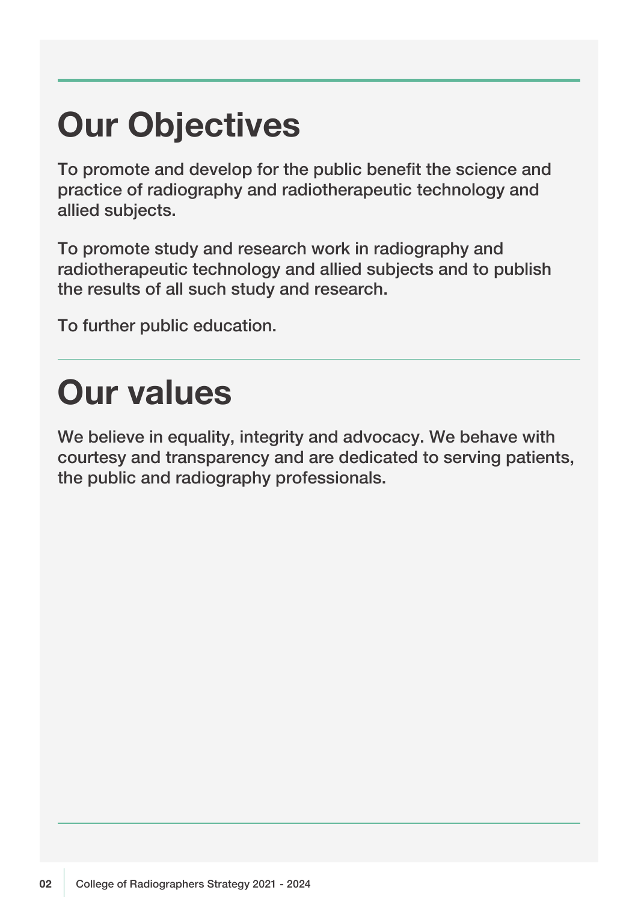## **Our Objectives**

To promote and develop for the public benefit the science and practice of radiography and radiotherapeutic technology and allied subjects.

To promote study and research work in radiography and radiotherapeutic technology and allied subjects and to publish the results of all such study and research.

To further public education.

## **Our values**

We believe in equality, integrity and advocacy. We behave with courtesy and transparency and are dedicated to serving patients, the public and radiography professionals.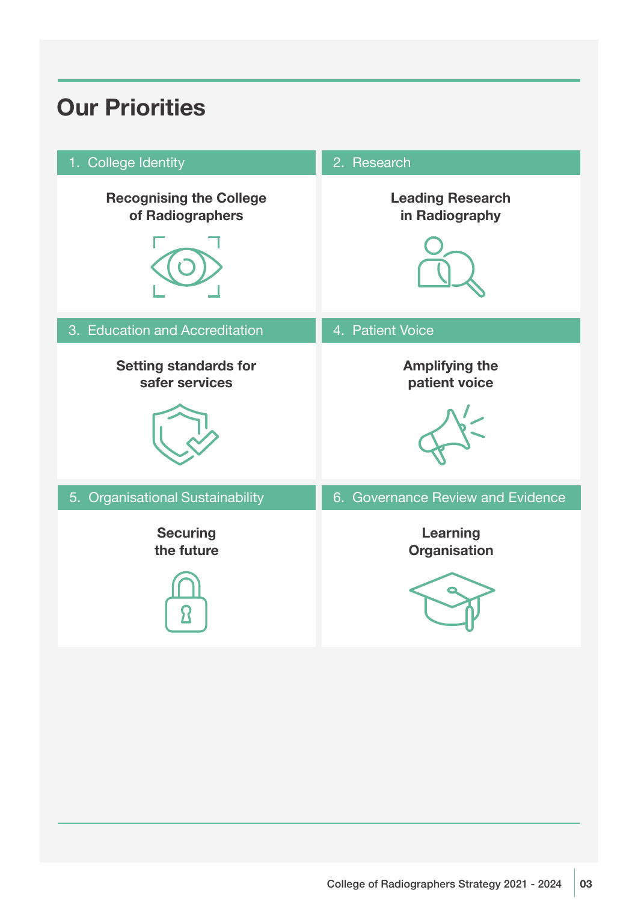## **Our Priorities**

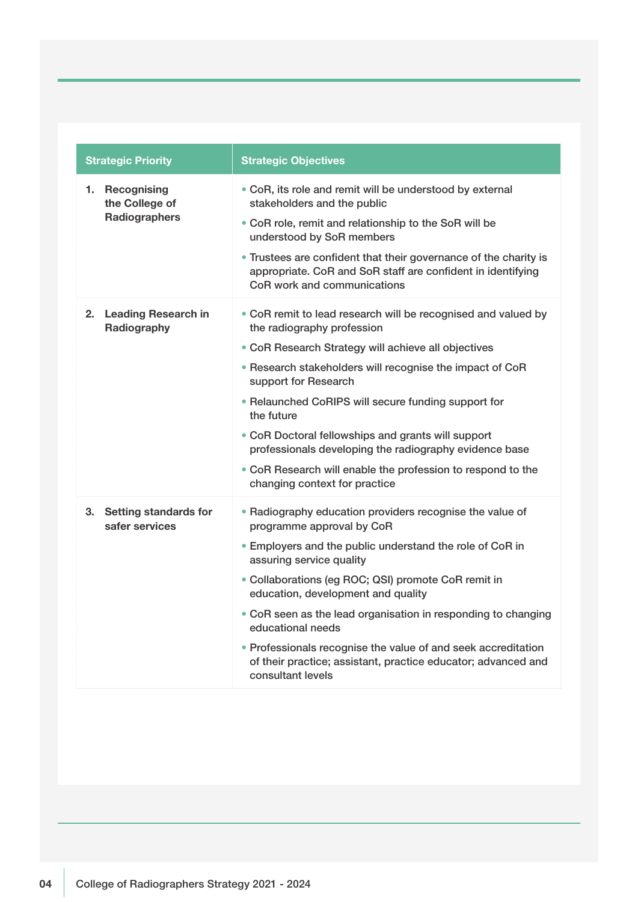| <b>Strategic Priority</b>                         | <b>Strategic Objectives</b>                                                                                                                                                                                                                                                                                                                                                                                                                                                                                                 |
|---------------------------------------------------|-----------------------------------------------------------------------------------------------------------------------------------------------------------------------------------------------------------------------------------------------------------------------------------------------------------------------------------------------------------------------------------------------------------------------------------------------------------------------------------------------------------------------------|
| 1. Recognising<br>the College of<br>Radiographers | • CoR, its role and remit will be understood by external<br>stakeholders and the public<br>• CoR role, remit and relationship to the SoR will be<br>understood by SoR members<br>• Trustees are confident that their governance of the charity is<br>appropriate. CoR and SoR staff are confident in identifying<br>CoR work and communications                                                                                                                                                                             |
| 2.<br><b>Leading Research in</b><br>Radiography   | • CoR remit to lead research will be recognised and valued by<br>the radiography profession<br>• CoR Research Strategy will achieve all objectives<br>• Research stakeholders will recognise the impact of CoR<br>support for Research<br>• Relaunched CoRIPS will secure funding support for<br>the future<br>• CoR Doctoral fellowships and grants will support<br>professionals developing the radiography evidence base<br>• CoR Research will enable the profession to respond to the<br>changing context for practice |
| 3. Setting standards for<br>safer services        | • Radiography education providers recognise the value of<br>programme approval by CoR<br>• Employers and the public understand the role of CoR in<br>assuring service quality<br>• Collaborations (eg ROC; QSI) promote CoR remit in<br>education, development and quality<br>• CoR seen as the lead organisation in responding to changing<br>educational needs<br>• Professionals recognise the value of and seek accreditation<br>of their practice; assistant, practice educator; advanced and<br>consultant levels     |